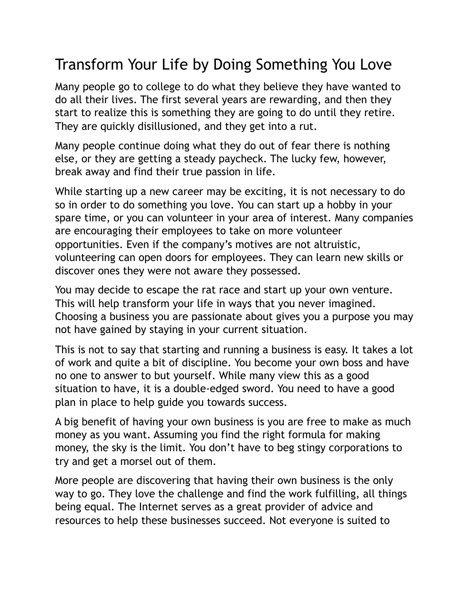## Transform Your Life by Doing Something You Love

Many people go to college to do what they believe they have wanted to do all their lives. The first several years are rewarding, and then they start to realize this is something they are going to do until they retire. They are quickly disillusioned, and they get into a rut.

Many people continue doing what they do out of fear there is nothing else, or they are getting a steady paycheck. The lucky few, however, break away and find their true passion in life.

While starting up a new career may be exciting, it is not necessary to do so in order to do something you love. You can start up a hobby in your spare time, or you can volunteer in your area of interest. Many companies are encouraging their employees to take on more volunteer opportunities. Even if the company's motives are not altruistic, volunteering can open doors for employees. They can learn new skills or discover ones they were not aware they possessed.

You may decide to escape the rat race and start up your own venture. This will help transform your life in ways that you never imagined. Choosing a business you are passionate about gives you a purpose you may not have gained by staying in your current situation.

This is not to say that starting and running a business is easy. It takes a lot of work and quite a bit of discipline. You become your own boss and have no one to answer to but yourself. While many view this as a good situation to have, it is a double-edged sword. You need to have a good plan in place to help guide you towards success.

A big benefit of having your own business is you are free to make as much money as you want. Assuming you find the right formula for making money, the sky is the limit. You don't have to beg stingy corporations to try and get a morsel out of them.

More people are discovering that having their own business is the only way to go. They love the challenge and find the work fulfilling, all things being equal. The Internet serves as a great provider of advice and resources to help these businesses succeed. Not everyone is suited to